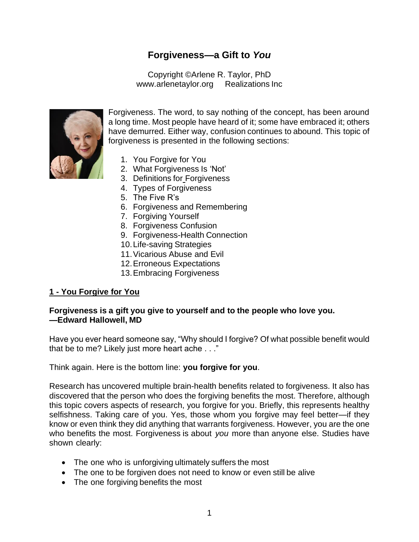# **Forgiveness—a Gift to** *You*

Copyright ©Arlene R. Taylor, PhD [www.arlenetaylor.org](http://www.arlenetaylor.org/) Realizations Inc



Forgiveness. The word, to say nothing of the concept, has been around a long time. Most people have heard of it; some have embraced it; others have demurred. Either way, confusion continues to abound. This topic of forgiveness is presented in the following sections:

- 1. You Forgive for You
- 2. What Forgiveness Is 'Not'
- 3. Definitions for Forgiveness
- 4. Types of Forgiveness
- 5. The Five R's
- 6. Forgiveness and Remembering
- 7. Forgiving Yourself
- 8. Forgiveness Confusion
- 9. Forgiveness-Health Connection
- 10.Life-saving Strategies
- 11.Vicarious Abuse and Evil
- 12.Erroneous Expectations
- 13.Embracing Forgiveness

## **1 - You Forgive for You**

## **Forgiveness is a gift you give to yourself and to the people who love you. —Edward Hallowell, MD**

Have you ever heard someone say, "Why should I forgive? Of what possible benefit would that be to me? Likely just more heart ache . . ."

Think again. Here is the bottom line: **you forgive for you**.

Research has uncovered multiple brain-health benefits related to forgiveness. It also has discovered that the person who does the forgiving benefits the most. Therefore, although this topic covers aspects of research, you forgive for you. Briefly, this represents healthy selfishness. Taking care of you. Yes, those whom you forgive may feel better—if they know or even think they did anything that warrants forgiveness. However, you are the one who benefits the most. Forgiveness is about *you* more than anyone else. Studies have shown clearly:

- The one who is unforgiving ultimately suffers the most
- The one to be forgiven does not need to know or even still be alive
- The one forgiving benefits the most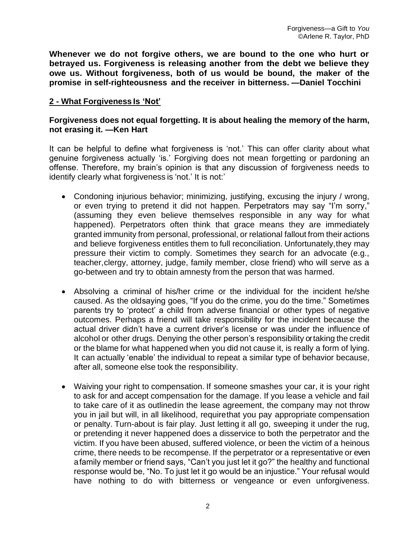**Whenever we do not forgive others, we are bound to the one who hurt or betrayed us. Forgiveness is releasing another from the debt we believe they owe us. Without forgiveness, both of us would be bound, the maker of the promise in self-righteousness and the receiver in bitterness. —Daniel Tocchini**

## **2 - What Forgiveness Is 'Not'**

## **Forgiveness does not equal forgetting. It is about healing the memory of the harm, not erasing it. —Ken Hart**

It can be helpful to define what forgiveness is 'not.' This can offer clarity about what genuine forgiveness actually 'is.' Forgiving does not mean forgetting or pardoning an offense. Therefore, my brain's opinion is that any discussion of forgiveness needs to identify clearly what forgiveness is 'not.' It is not:'

- Condoning injurious behavior; minimizing, justifying, excusing the injury / wrong, or even trying to pretend it did not happen. Perpetrators may say "I'm sorry," (assuming they even believe themselves responsible in any way for what happened). Perpetrators often think that grace means they are immediately granted immunity from personal, professional, or relational fallout from their actions and believe forgiveness entitles them to full reconciliation. Unfortunately,they may pressure their victim to comply. Sometimes they search for an advocate (e.g., teacher,clergy, attorney, judge, family member, close friend) who will serve as a go-between and try to obtain amnesty from the person that was harmed.
- Absolving a criminal of his/her crime or the individual for the incident he/she caused. As the oldsaying goes, "If you do the crime, you do the time." Sometimes parents try to 'protect' a child from adverse financial or other types of negative outcomes. Perhaps a friend will take responsibility for the incident because the actual driver didn't have a current driver's license or was under the influence of alcohol or other drugs. Denying the other person's responsibility or taking the credit or the blame for what happened when you did not cause it, is really a form of lying. It can actually 'enable' the individual to repeat a similar type of behavior because, after all, someone else took the responsibility.
- Waiving your right to compensation. If someone smashes your car, it is your right to ask for and accept compensation for the damage. If you lease a vehicle and fail to take care of it as outlinedin the lease agreement, the company may not throw you in jail but will, in all likelihood, requirethat you pay appropriate compensation or penalty. Turn-about is fair play. Just letting it all go, sweeping it under the rug, or pretending it never happened does a disservice to both the perpetrator and the victim. If you have been abused, suffered violence, or been the victim of a heinous crime, there needs to be recompense. If the perpetrator or a representative or even a family member or friend says, "Can't you just let it go?" the healthy and functional response would be, "No. To just let it go would be an injustice." Your refusal would have nothing to do with bitterness or vengeance or even unforgiveness.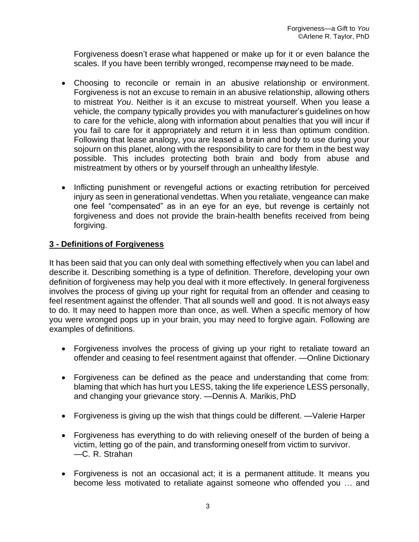Forgiveness doesn't erase what happened or make up for it or even balance the scales. If you have been terribly wronged, recompense may need to be made.

- Choosing to reconcile or remain in an abusive relationship or environment. Forgiveness is not an excuse to remain in an abusive relationship, allowing others to mistreat *You*. Neither is it an excuse to mistreat yourself. When you lease a vehicle, the company typically provides you with manufacturer's guidelines on how to care for the vehicle, along with information about penalties that you will incur if you fail to care for it appropriately and return it in less than optimum condition. Following that lease analogy, you are leased a brain and body to use during your sojourn on this planet, along with the responsibility to care for them in the best way possible. This includes protecting both brain and body from abuse and mistreatment by others or by yourself through an unhealthy lifestyle.
- Inflicting punishment or revengeful actions or exacting retribution for perceived injury as seen in generational vendettas. When you retaliate, vengeance can make one feel "compensated" as in an eye for an eye, but revenge is certainly not forgiveness and does not provide the brain-health benefits received from being forgiving.

## **3 - Definitions of Forgiveness**

It has been said that you can only deal with something effectively when you can label and describe it. Describing something is a type of definition. Therefore, developing your own definition of forgiveness may help you deal with it more effectively. In general forgiveness involves the process of giving up your right for requital from an offender and ceasing to feel resentment against the offender. That all sounds well and good. It is not always easy to do. It may need to happen more than once, as well. When a specific memory of how you were wronged pops up in your brain, you may need to forgive again. Following are examples of definitions.

- Forgiveness involves the process of giving up your right to retaliate toward an offender and ceasing to feel resentment against that offender. —Online Dictionary
- Forgiveness can be defined as the peace and understanding that come from: blaming that which has hurt you LESS, taking the life experience LESS personally, and changing your grievance story. —Dennis A. Marikis, PhD
- Forgiveness is giving up the wish that things could be different. —Valerie Harper
- Forgiveness has everything to do with relieving oneself of the burden of being a victim, letting go of the pain, and transforming oneself from victim to survivor. —C. R. Strahan
- Forgiveness is not an occasional act; it is a permanent attitude. It means you become less motivated to retaliate against someone who offended you … and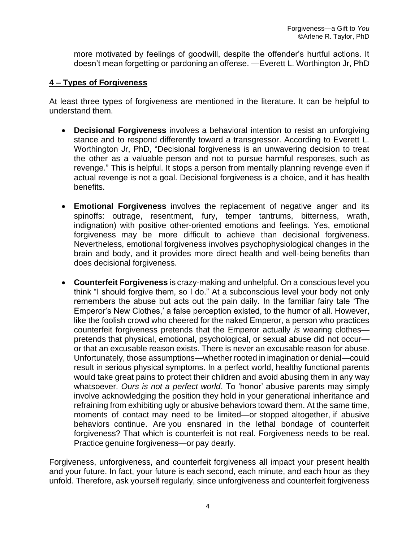more motivated by feelings of goodwill, despite the offender's hurtful actions. It doesn't mean forgetting or pardoning an offense. —Everett L. Worthington Jr, PhD

## **4 – Types of Forgiveness**

At least three types of forgiveness are mentioned in the literature. It can be helpful to understand them.

- **Decisional Forgiveness** involves a behavioral intention to resist an unforgiving stance and to respond differently toward a transgressor. According to Everett L. Worthington Jr, PhD, "Decisional forgiveness is an unwavering decision to treat the other as a valuable person and not to pursue harmful responses, such as revenge." This is helpful. It stops a person from mentally planning revenge even if actual revenge is not a goal. Decisional forgiveness is a choice, and it has health benefits.
- **Emotional Forgiveness** involves the replacement of negative anger and its spinoffs: outrage, resentment, fury, temper tantrums, bitterness, wrath, indignation) with positive other-oriented emotions and feelings. Yes, emotional forgiveness may be more difficult to achieve than decisional forgiveness. Nevertheless, emotional forgiveness involves psychophysiological changes in the brain and body, and it provides more direct health and well-being benefits than does decisional forgiveness.
- **Counterfeit Forgiveness** is crazy-making and unhelpful. On a conscious level you think "I should forgive them, so I do." At a subconscious level your body not only remembers the abuse but acts out the pain daily. In the familiar fairy tale 'The Emperor's New Clothes,' a false perception existed, to the humor of all. However, like the foolish crowd who cheered for the naked Emperor, a person who practices counterfeit forgiveness pretends that the Emperor actually *is* wearing clothes pretends that physical, emotional, psychological, or sexual abuse did not occur or that an excusable reason exists. There is never an excusable reason for abuse. Unfortunately, those assumptions—whether rooted in imagination or denial—could result in serious physical symptoms. In a perfect world, healthy functional parents would take great pains to protect their children and avoid abusing them in any way whatsoever. *Ours is not a perfect world*. To 'honor' abusive parents may simply involve acknowledging the position they hold in your generational inheritance and refraining from exhibiting ugly or abusive behaviors toward them. At the same time, moments of contact may need to be limited—or stopped altogether, if abusive behaviors continue. Are you ensnared in the lethal bondage of counterfeit forgiveness? That which is counterfeit is not real. Forgiveness needs to be real. Practice genuine forgiveness—or pay dearly.

Forgiveness, unforgiveness, and counterfeit forgiveness all impact your present health and your future. In fact, your future is each second, each minute, and each hour as they unfold. Therefore, ask yourself regularly, since unforgiveness and counterfeit forgiveness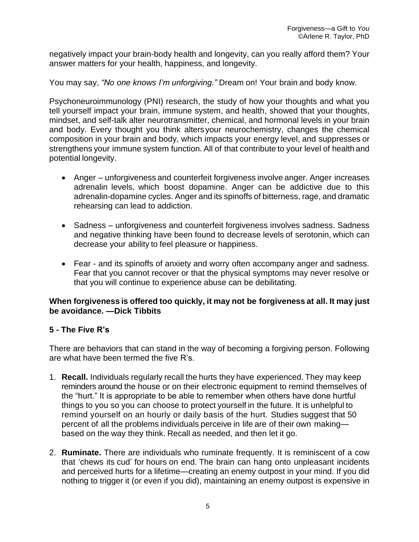negatively impact your brain-body health and longevity, can you really afford them? Your answer matters for your health, happiness, and longevity.

You may say, *"No one knows I'm unforgiving."* Dream on! Your brain and body know.

Psychoneuroimmunology (PNI) research, the study of how your thoughts and what you tell yourself impact your brain, immune system, and health, showed that your thoughts, mindset, and self-talk alter neurotransmitter, chemical, and hormonal levels in your brain and body. Every thought you think altersyour neurochemistry, changes the chemical composition in your brain and body, which impacts your energy level, and suppresses or strengthens your immune system function. All of that contribute to your level of health and potential longevity.

- Anger unforgiveness and counterfeit forgiveness involve anger. Anger increases adrenalin levels, which boost dopamine. Anger can be addictive due to this adrenalin-dopamine cycles. Anger and its spinoffs of bitterness, rage, and dramatic rehearsing can lead to addiction.
- Sadness unforgiveness and counterfeit forgiveness involves sadness. Sadness and negative thinking have been found to decrease levels of serotonin, which can decrease your ability to feel pleasure or happiness.
- Fear and its spinoffs of anxiety and worry often accompany anger and sadness. Fear that you cannot recover or that the physical symptoms may never resolve or that you will continue to experience abuse can be debilitating.

## **When forgiveness is offered too quickly, it may not be forgiveness at all. It may just be avoidance. —Dick Tibbits**

## **5 - The Five R's**

There are behaviors that can stand in the way of becoming a forgiving person. Following are what have been termed the five R's.

- 1. **Recall.** Individuals regularly recall the hurts they have experienced. They may keep reminders around the house or on their electronic equipment to remind themselves of the "hurt." It is appropriate to be able to remember when others have done hurtful things to you so you can choose to protect yourself in the future. It is unhelpful to remind yourself on an hourly or daily basis of the hurt. Studies suggest that 50 percent of all the problems individuals perceive in life are of their own making based on the way they think. Recall as needed, and then let it go.
- 2. **Ruminate.** There are individuals who ruminate frequently. It is reminiscent of a cow that 'chews its cud' for hours on end. The brain can hang onto unpleasant incidents and perceived hurts for a lifetime—creating an enemy outpost in your mind. If you did nothing to trigger it (or even if you did), maintaining an enemy outpost is expensive in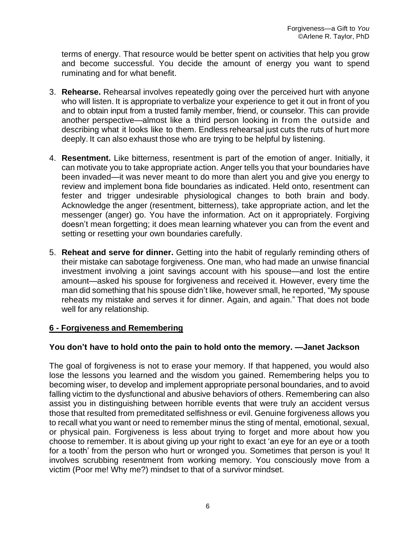terms of energy. That resource would be better spent on activities that help you grow and become successful. You decide the amount of energy you want to spend ruminating and for what benefit.

- 3. **Rehearse.** Rehearsal involves repeatedly going over the perceived hurt with anyone who will listen. It is appropriate to verbalize your experience to get it out in front of you and to obtain input from a trusted family member, friend, or counselor. This can provide another perspective—almost like a third person looking in from the outside and describing what it looks like to them. Endless rehearsal just cuts the ruts of hurt more deeply. It can also exhaust those who are trying to be helpful by listening.
- 4. **Resentment.** Like bitterness, resentment is part of the emotion of anger. Initially, it can motivate you to take appropriate action. Anger tells you that your boundaries have been invaded—it was never meant to do more than alert you and give you energy to review and implement bona fide boundaries as indicated. Held onto, resentment can fester and trigger undesirable physiological changes to both brain and body. Acknowledge the anger (resentment, bitterness), take appropriate action, and let the messenger (anger) go. You have the information. Act on it appropriately. Forgiving doesn't mean forgetting; it does mean learning whatever you can from the event and setting or resetting your own boundaries carefully.
- 5. **Reheat and serve for dinner.** Getting into the habit of regularly reminding others of their mistake can sabotage forgiveness. One man, who had made an unwise financial investment involving a joint savings account with his spouse—and lost the entire amount—asked his spouse for forgiveness and received it. However, every time the man did something that his spouse didn't like, however small, he reported, "My spouse reheats my mistake and serves it for dinner. Again, and again." That does not bode well for any relationship.

## **6 - Forgiveness and Remembering**

## **You don't have to hold onto the pain to hold onto the memory. —Janet Jackson**

The goal of forgiveness is not to erase your memory. If that happened, you would also lose the lessons you learned and the wisdom you gained. Remembering helps you to becoming wiser, to develop and implement appropriate personal boundaries, and to avoid falling victim to the dysfunctional and abusive behaviors of others. Remembering can also assist you in distinguishing between horrible events that were truly an accident versus those that resulted from premeditated selfishness or evil. Genuine forgiveness allows you to recall what you want or need to remember minus the sting of mental, emotional, sexual, or physical pain. Forgiveness is less about trying to forget and more about how you choose to remember. It is about giving up your right to exact 'an eye for an eye or a tooth for a tooth' from the person who hurt or wronged you. Sometimes that person is you! It involves scrubbing resentment from working memory. You consciously move from a victim (Poor me! Why me?) mindset to that of a survivor mindset.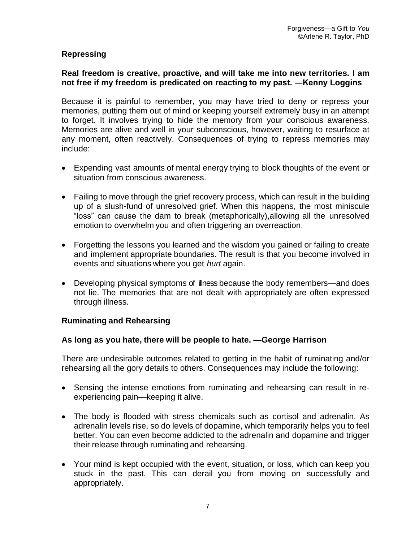## **Repressing**

### **Real freedom is creative, proactive, and will take me into new territories. I am not free if my freedom is predicated on reacting to my past. ―Kenny Loggins**

Because it is painful to remember, you may have tried to deny or repress your memories, putting them out of mind or keeping yourself extremely busy in an attempt to forget. It involves trying to hide the memory from your conscious awareness. Memories are alive and well in your subconscious, however, waiting to resurface at any moment, often reactively. Consequences of trying to repress memories may include:

- Expending vast amounts of mental energy trying to block thoughts of the event or situation from conscious awareness.
- Failing to move through the grief recovery process, which can result in the building up of a slush-fund of unresolved grief. When this happens, the most miniscule "loss" can cause the dam to break (metaphorically),allowing all the unresolved emotion to overwhelm you and often triggering an overreaction.
- Forgetting the lessons you learned and the wisdom you gained or failing to create and implement appropriate boundaries. The result is that you become involved in events and situations where you get *hurt* again.
- Developing physical symptoms of illness because the body remembers—and does not lie. The memories that are not dealt with appropriately are often expressed through illness.

## **Ruminating and Rehearsing**

## **As long as you hate, there will be people to hate. —George Harrison**

There are undesirable outcomes related to getting in the habit of ruminating and/or rehearsing all the gory details to others. Consequences may include the following:

- Sensing the intense emotions from ruminating and rehearsing can result in reexperiencing pain—keeping it alive.
- The body is flooded with stress chemicals such as cortisol and adrenalin. As adrenalin levels rise, so do levels of dopamine, which temporarily helps you to feel better. You can even become addicted to the adrenalin and dopamine and trigger their release through ruminating and rehearsing.
- Your mind is kept occupied with the event, situation, or loss, which can keep you stuck in the past. This can derail you from moving on successfully and appropriately.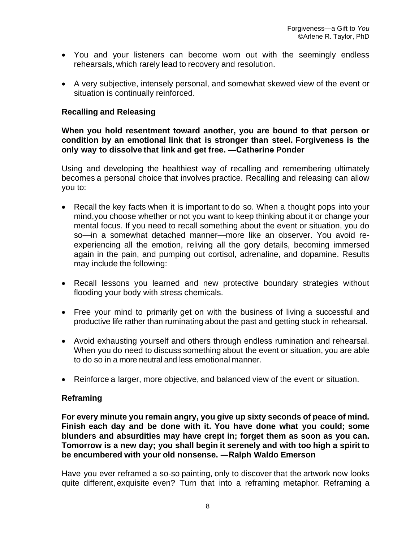- You and your listeners can become worn out with the seemingly endless rehearsals, which rarely lead to recovery and resolution.
- A very subjective, intensely personal, and somewhat skewed view of the event or situation is continually reinforced.

## **Recalling and Releasing**

## **When you hold resentment toward another, you are bound to that person or condition by an emotional link that is stronger than steel. Forgiveness is the only way to dissolve that link and get free. ―Catherine Ponder**

Using and developing the healthiest way of recalling and remembering ultimately becomes a personal choice that involves practice. Recalling and releasing can allow you to:

- Recall the key facts when it is important to do so. When a thought pops into your mind,you choose whether or not you want to keep thinking about it or change your mental focus. If you need to recall something about the event or situation, you do so—in a somewhat detached manner—more like an observer. You avoid reexperiencing all the emotion, reliving all the gory details, becoming immersed again in the pain, and pumping out cortisol, adrenaline, and dopamine. Results may include the following:
- Recall lessons you learned and new protective boundary strategies without flooding your body with stress chemicals.
- Free your mind to primarily get on with the business of living a successful and productive life rather than ruminating about the past and getting stuck in rehearsal.
- Avoid exhausting yourself and others through endless rumination and rehearsal. When you do need to discuss something about the event or situation, you are able to do so in a more neutral and less emotional manner.
- Reinforce a larger, more objective, and balanced view of the event or situation.

## **Reframing**

**For every minute you remain angry, you give up sixty seconds of peace of mind. Finish each day and be done with it. You have done what you could; some blunders and absurdities may have crept in; forget them as soon as you can. Tomorrow is a new day; you shall begin it serenely and with too high a spirit to be encumbered with your old nonsense. ―Ralph Waldo Emerson**

Have you ever reframed a so-so painting, only to discover that the artwork now looks quite different, exquisite even? Turn that into a reframing metaphor. Reframing a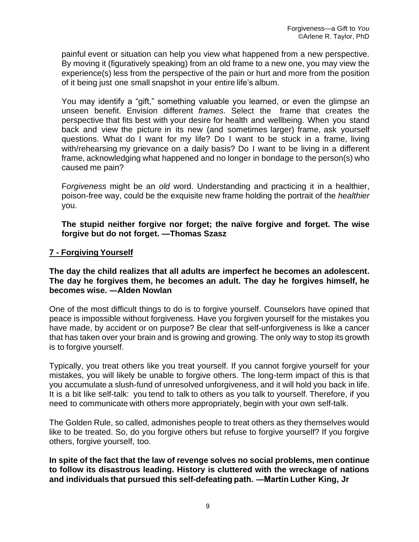painful event or situation can help you view what happened from a new perspective. By moving it (figuratively speaking) from an old frame to a new one, you may view the experience(s) less from the perspective of the pain or hurt and more from the position of it being just one small snapshot in your entire life's album.

You may identify a "gift," something valuable you learned, or even the glimpse an unseen benefit. Envision different *frames*. Select the frame that creates the perspective that fits best with your desire for health and wellbeing. When you stand back and view the picture in its new (and sometimes larger) frame, ask yourself questions. What do I want for my life? Do I want to be stuck in a frame, living with/rehearsing my grievance on a daily basis? Do I want to be living in a different frame, acknowledging what happened and no longer in bondage to the person(s) who caused me pain?

F*orgiveness* might be an *old* word. Understanding and practicing it in a healthier, poison-free way, could be the exquisite new frame holding the portrait of the *healthier*  you.

**The stupid neither forgive nor forget; the naïve forgive and forget. The wise forgive but do not forget. —Thomas Szasz**

## **7 - Forgiving Yourself**

**The day the child realizes that all adults are imperfect he becomes an adolescent. The day he forgives them, he becomes an adult. The day he forgives himself, he becomes wise. ―Alden Nowlan**

One of the most difficult things to do is to forgive yourself. Counselors have opined that peace is impossible without forgiveness. Have you forgiven yourself for the mistakes you have made, by accident or on purpose? Be clear that self-unforgiveness is like a cancer that has taken over your brain and is growing and growing. The only way to stop its growth is to forgive yourself.

Typically, you treat others like you treat yourself. If you cannot forgive yourself for your mistakes, you will likely be unable to forgive others. The long-term impact of this is that you accumulate a slush-fund of unresolved unforgiveness, and it will hold you back in life. It is a bit like self-talk: you tend to talk to others as you talk to yourself. Therefore, if you need to communicate with others more appropriately, begin with your own self-talk.

The Golden Rule, so called, admonishes people to treat others as they themselves would like to be treated. So, do you forgive others but refuse to forgive yourself? If you forgive others, forgive yourself, too.

**In spite of the fact that the law of revenge solves no social problems, men continue to follow its disastrous leading. History is cluttered with the wreckage of nations and individuals that pursued this self-defeating path. ―Martin Luther King, Jr**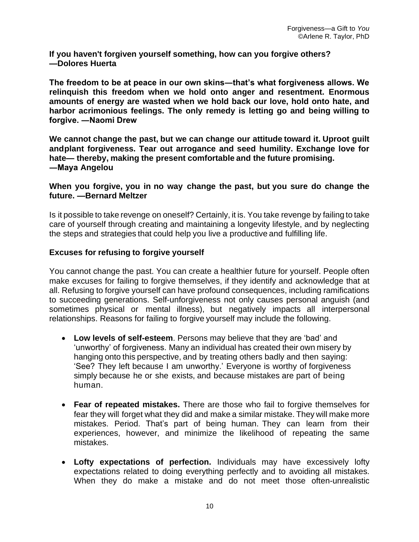**If you haven't forgiven yourself something, how can you forgive others? —Dolores Huerta**

**The freedom to be at peace in our own skins―that's what forgiveness allows. We relinquish this freedom when we hold onto anger and resentment. Enormous amounts of energy are wasted when we hold back our love, hold onto hate, and harbor acrimonious feelings. The only remedy is letting go and being willing to forgive. ―Naomi Drew**

**We cannot change the past, but we can change our attitude toward it. Uproot guilt andplant forgiveness. Tear out arrogance and seed humility. Exchange love for hate— thereby, making the present comfortable and the future promising. ―Maya Angelou**

**When you forgive, you in no way change the past, but you sure do change the future. —Bernard Meltzer**

Is it possible to take revenge on oneself? Certainly, it is. You take revenge by failing to take care of yourself through creating and maintaining a longevity lifestyle, and by neglecting the steps and strategies that could help you live a productive and fulfilling life.

#### **Excuses for refusing to forgive yourself**

You cannot change the past. You can create a healthier future for yourself. People often make excuses for failing to forgive themselves, if they identify and acknowledge that at all. Refusing to forgive yourself can have profound consequences, including ramifications to succeeding generations. Self-unforgiveness not only causes personal anguish (and sometimes physical or mental illness), but negatively impacts all interpersonal relationships. Reasons for failing to forgive yourself may include the following.

- **Low levels of self-esteem**. Persons may believe that they are 'bad' and 'unworthy' of forgiveness. Many an individual has created their own misery by hanging onto this perspective, and by treating others badly and then saying: 'See? They left because I am unworthy.' Everyone is worthy of forgiveness simply because he or she exists, and because mistakes are part of being human.
- **Fear of repeated mistakes.** There are those who fail to forgive themselves for fear they will forget what they did and make a similar mistake. They will make more mistakes. Period. That's part of being human. They can learn from their experiences, however, and minimize the likelihood of repeating the same mistakes.
- **Lofty expectations of perfection.** Individuals may have excessively lofty expectations related to doing everything perfectly and to avoiding all mistakes. When they do make a mistake and do not meet those often-unrealistic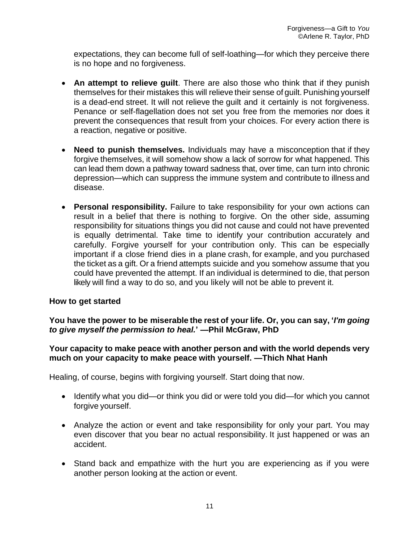expectations, they can become full of self-loathing—for which they perceive there is no hope and no forgiveness.

- **An attempt to relieve guilt**. There are also those who think that if they punish themselves for their mistakes this will relieve their sense of quilt. Punishing yourself is a dead-end street. It will not relieve the guilt and it certainly is not forgiveness. Penance or self-flagellation does not set you free from the memories nor does it prevent the consequences that result from your choices. For every action there is a reaction, negative or positive.
- **Need to punish themselves.** Individuals may have a misconception that if they forgive themselves, it will somehow show a lack of sorrow for what happened. This can lead them down a pathway toward sadness that, over time, can turn into chronic depression—which can suppress the immune system and contribute to illness and disease.
- **Personal responsibility.** Failure to take responsibility for your own actions can result in a belief that there is nothing to forgive. On the other side, assuming responsibility for situations things you did not cause and could not have prevented is equally detrimental. Take time to identify your contribution accurately and carefully. Forgive yourself for your contribution only. This can be especially important if a close friend dies in a plane crash, for example, and you purchased the ticket as a gift. Or a friend attempts suicide and you somehow assume that you could have prevented the attempt. If an individual is determined to die, that person likely will find a way to do so, and you likely will not be able to prevent it.

## **How to get started**

## **You have the power to be miserable the rest of your life. Or, you can say, '***I'm going to give myself the permission to heal.***' —Phil McGraw, PhD**

#### **Your capacity to make peace with another person and with the world depends very much on your capacity to make peace with yourself. —Thich Nhat Hanh**

Healing, of course, begins with forgiving yourself. Start doing that now.

- Identify what you did—or think you did or were told you did—for which you cannot forgive yourself.
- Analyze the action or event and take responsibility for only your part. You may even discover that you bear no actual responsibility. It just happened or was an accident.
- Stand back and empathize with the hurt you are experiencing as if you were another person looking at the action or event.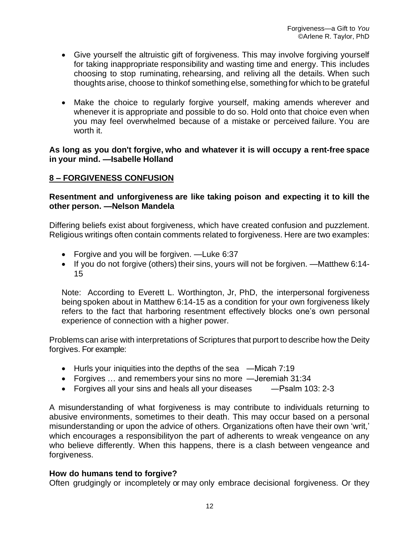- Give yourself the altruistic gift of forgiveness. This may involve forgiving yourself for taking inappropriate responsibility and wasting time and energy. This includes choosing to stop ruminating, rehearsing, and reliving all the details. When such thoughts arise, choose to thinkof something else, something for which to be grateful
- Make the choice to regularly forgive yourself, making amends wherever and whenever it is appropriate and possible to do so. Hold onto that choice even when you may feel overwhelmed because of a mistake or perceived failure. You are worth it.

**As long as you don't forgive, who and whatever it is will occupy a rent-free space in your mind. —Isabelle Holland**

## **8 – FORGIVENESS CONFUSION**

## **Resentment and unforgiveness are like taking poison and expecting it to kill the other person. —Nelson Mandela**

Differing beliefs exist about forgiveness, which have created confusion and puzzlement. Religious writings often contain comments related to forgiveness. Here are two examples:

- Forgive and you will be forgiven. —Luke 6:37
- If you do not forgive (others) their sins, yours will not be forgiven. —Matthew 6:14- 15

Note: According to Everett L. Worthington, Jr, PhD, the interpersonal forgiveness being spoken about in Matthew 6:14-15 as a condition for your own forgiveness likely refers to the fact that harboring resentment effectively blocks one's own personal experience of connection with a higher power.

Problems can arise with interpretations of Scriptures that purport to describe how the Deity forgives. For example:

- Hurls your iniquities into the depths of the sea —Micah 7:19
- Forgives ... and remembers your sins no more —Jeremiah 31:34
- Forgives all your sins and heals all your diseases Psalm 103: 2-3

A misunderstanding of what forgiveness is may contribute to individuals returning to abusive environments, sometimes to their death. This may occur based on a personal misunderstanding or upon the advice of others. Organizations often have their own 'writ,' which encourages a responsibilityon the part of adherents to wreak vengeance on any who believe differently. When this happens, there is a clash between vengeance and forgiveness.

## **How do humans tend to forgive?**

Often grudgingly or incompletely or may only embrace decisional forgiveness. Or they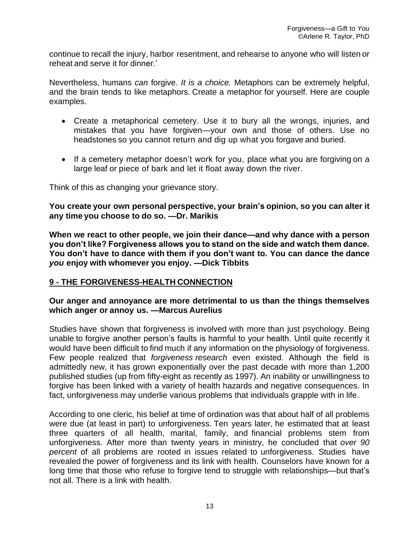continue to recall the injury, harbor resentment, and rehearse to anyone who will listen or reheat and serve it for dinner.'

Nevertheless, humans *can* forgive. *It is a choice.* Metaphors can be extremely helpful, and the brain tends to like metaphors. Create a metaphor for yourself. Here are couple examples.

- Create a metaphorical cemetery. Use it to bury all the wrongs, injuries, and mistakes that you have forgiven—your own and those of others. Use no headstones so you cannot return and dig up what you forgave and buried.
- If a cemetery metaphor doesn't work for you, place what you are forgiving on a large leaf or piece of bark and let it float away down the river.

Think of this as changing your grievance story.

**You create your own personal perspective, your brain's opinion, so you can alter it any time you choose to do so. —Dr. Marikis**

**When we react to other people, we join their dance—and why dance with a person you don't like? Forgiveness allows you to stand on the side and watch them dance. You don't have to dance with them if you don't want to. You can dance the dance** *you* **enjoy with whomever you enjoy. —Dick Tibbits**

## **9 - THE FORGIVENESS-HEALTH CONNECTION**

#### **Our anger and annoyance are more detrimental to us than the things themselves which anger or annoy us. —Marcus Aurelius**

Studies have shown that forgiveness is involved with more than just psychology. Being unable to forgive another person's faults is harmful to your health. Until quite recently it would have been difficult to find much if any information on the physiology of forgiveness. Few people realized that *forgiveness research* even existed. Although the field is admittedly new, it has grown exponentially over the past decade with more than 1,200 published studies (up from fifty-eight as recently as 1997). An inability or unwillingness to forgive has been linked with a variety of health hazards and negative consequences. In fact, unforgiveness may underlie various problems that individuals grapple with in life.

According to one cleric, his belief at time of ordination was that about half of all problems were due (at least in part) to unforgiveness. Ten years later, he estimated that at least three quarters of all health, marital, family, and financial problems stem from unforgiveness. After more than twenty years in ministry, he concluded that *over 90 percent* of all problems are rooted in issues related to unforgiveness. Studies have revealed the power of forgiveness and its link with health. Counselors have known for a long time that those who refuse to forgive tend to struggle with relationships—but that's not all. There is a link with health.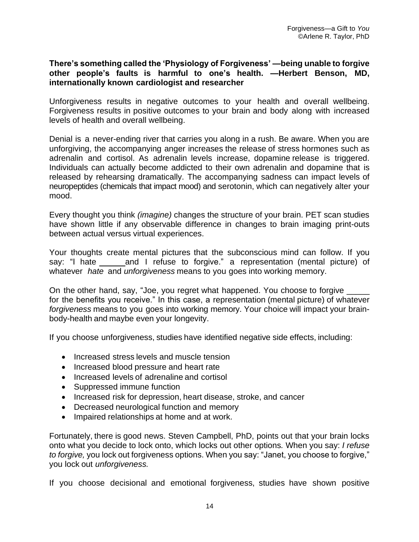## **There's something called the 'Physiology of Forgiveness' —being unable to forgive other people's faults is harmful to one's health. —Herbert Benson, MD, internationally known cardiologist and researcher**

Unforgiveness results in negative outcomes to your health and overall wellbeing. Forgiveness results in positive outcomes to your brain and body along with increased levels of health and overall wellbeing.

Denial is a never-ending river that carries you along in a rush. Be aware. When you are unforgiving, the accompanying anger increases the release of stress hormones such as adrenalin and cortisol. As adrenalin levels increase, dopamine release is triggered. Individuals can actually become addicted to their own adrenalin and dopamine that is released by rehearsing dramatically. The accompanying sadness can impact levels of neuropeptides (chemicals that impact mood) and serotonin, which can negatively alter your mood.

Every thought you think *(imagine)* changes the structure of your brain. PET scan studies have shown little if any observable difference in changes to brain imaging print-outs between actual versus virtual experiences.

Your thoughts create mental pictures that the subconscious mind can follow. If you say: "I hate \_\_\_\_\_\_and I refuse to forgive." a representation (mental picture) of whatever *hate* and *unforgiveness* means to you goes into working memory.

On the other hand, say, "Joe, you regret what happened. You choose to forgive for the benefits you receive." In this case, a representation (mental picture) of whatever *forgiveness* means to you goes into working memory. Your choice will impact your brainbody-health and maybe even your longevity.

If you choose unforgiveness, studies have identified negative side effects, including:

- Increased stress levels and muscle tension
- Increased blood pressure and heart rate
- Increased levels of adrenaline and cortisol
- Suppressed immune function
- Increased risk for depression, heart disease, stroke, and cancer
- Decreased neurological function and memory
- Impaired relationships at home and at work.

Fortunately, there is good news. Steven Campbell, PhD, points out that your brain locks onto what you decide to lock onto, which locks out other options*.* When you say: *I refuse to forgive,* you lock out forgiveness options. When you say: "Janet, you choose to forgive," you lock out *unforgiveness.*

If you choose decisional and emotional forgiveness, studies have shown positive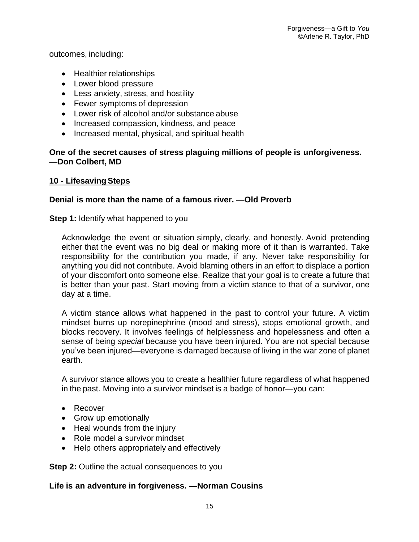outcomes, including:

- Healthier relationships
- Lower blood pressure
- Less anxiety, stress, and hostility
- Fewer symptoms of depression
- Lower risk of alcohol and/or substance abuse
- Increased compassion, kindness, and peace
- Increased mental, physical, and spiritual health

## **One of the secret causes of stress plaguing millions of people is unforgiveness. —Don Colbert, MD**

#### **10 - LifesavingSteps**

## **Denial is more than the name of a famous river. —Old Proverb**

#### **Step 1:** Identify what happened to you

Acknowledge the event or situation simply, clearly, and honestly. Avoid pretending either that the event was no big deal or making more of it than is warranted. Take responsibility for the contribution you made, if any. Never take responsibility for anything you did not contribute. Avoid blaming others in an effort to displace a portion of your discomfort onto someone else. Realize that your goal is to create a future that is better than your past. Start moving from a victim stance to that of a survivor, one day at a time.

A victim stance allows what happened in the past to control your future. A victim mindset burns up norepinephrine (mood and stress), stops emotional growth, and blocks recovery. It involves feelings of helplessness and hopelessness and often a sense of being *special* because you have been injured. You are not special because you've been injured—everyone is damaged because of living in the war zone of planet earth.

A survivor stance allows you to create a healthier future regardless of what happened in the past. Moving into a survivor mindset is a badge of honor―you can:

- Recover
- Grow up emotionally
- Heal wounds from the injury
- Role model a survivor mindset
- Help others appropriately and effectively

**Step 2:** Outline the actual consequences to you

#### **Life is an adventure in forgiveness. —Norman Cousins**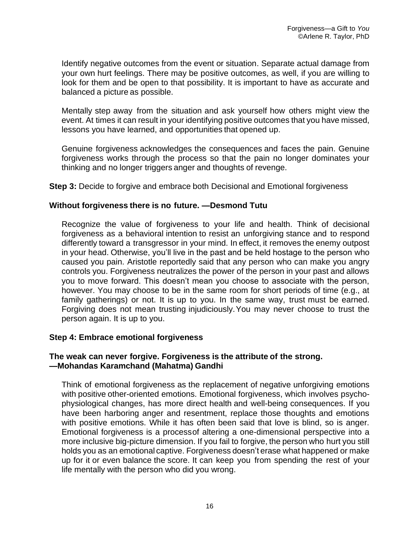Identify negative outcomes from the event or situation. Separate actual damage from your own hurt feelings. There may be positive outcomes, as well, if you are willing to look for them and be open to that possibility. It is important to have as accurate and balanced a picture as possible.

Mentally step away from the situation and ask yourself how others might view the event. At times it can result in your identifying positive outcomes that you have missed, lessons you have learned, and opportunities that opened up.

Genuine forgiveness acknowledges the consequences and faces the pain. Genuine forgiveness works through the process so that the pain no longer dominates your thinking and no longer triggers anger and thoughts of revenge.

**Step 3:** Decide to forgive and embrace both Decisional and Emotional forgiveness

#### **Without forgiveness there is no future. —Desmond Tutu**

Recognize the value of forgiveness to your life and health. Think of decisional forgiveness as a behavioral intention to resist an unforgiving stance and to respond differently toward a transgressor in your mind. In effect, it removes the enemy outpost in your head. Otherwise, you'll live in the past and be held hostage to the person who caused you pain. Aristotle reportedly said that any person who can make you angry controls you. Forgiveness neutralizes the power of the person in your past and allows you to move forward. This doesn't mean you choose to associate with the person, however. You may choose to be in the same room for short periods of time (e.g., at family gatherings) or not. It is up to you. In the same way, trust must be earned. Forgiving does not mean trusting injudiciously.You may never choose to trust the person again. It is up to you.

## **Step 4: Embrace emotional forgiveness**

#### **The weak can never forgive. Forgiveness is the attribute of the strong. —Mohandas Karamchand (Mahatma) Gandhi**

Think of emotional forgiveness as the replacement of negative unforgiving emotions with positive other-oriented emotions. Emotional forgiveness, which involves psychophysiological changes, has more direct health and well-being consequences. If you have been harboring anger and resentment, replace those thoughts and emotions with positive emotions. While it has often been said that love is blind, so is anger. Emotional forgiveness is a processof altering a one-dimensional perspective into a more inclusive big-picture dimension. If you fail to forgive, the person who hurt you still holds you as an emotional captive. Forgiveness doesn't erase what happened or make up for it or even balance the score. It can keep you from spending the rest of your life mentally with the person who did you wrong.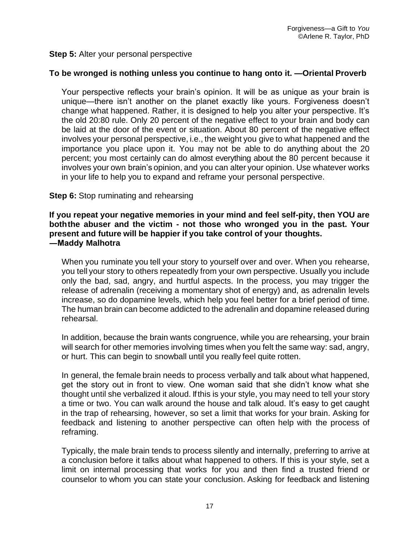#### **Step 5:** Alter your personal perspective

## **To be wronged is nothing unless you continue to hang onto it. —Oriental Proverb**

Your perspective reflects your brain's opinion. It will be as unique as your brain is unique—there isn't another on the planet exactly like yours. Forgiveness doesn't change what happened. Rather, it is designed to help you alter your perspective. It's the old 20:80 rule. Only 20 percent of the negative effect to your brain and body can be laid at the door of the event or situation. About 80 percent of the negative effect involves your personal perspective, i.e., the weight you give to what happened and the importance you place upon it. You may not be able to do anything about the 20 percent; you most certainly can do almost everything about the 80 percent because it involves your own brain's opinion, and you can alter your opinion. Use whatever works in your life to help you to expand and reframe your personal perspective.

#### **Step 6:** Stop ruminating and rehearsing

#### **If you repeat your negative memories in your mind and feel self-pity, then YOU are boththe abuser and the victim - not those who wronged you in the past. Your present and future will be happier if you take control of your thoughts. ―Maddy Malhotra**

When you ruminate you tell your story to yourself over and over. When you rehearse, you tell your story to others repeatedly from your own perspective. Usually you include only the bad, sad, angry, and hurtful aspects. In the process, you may trigger the release of adrenalin (receiving a momentary shot of energy) and, as adrenalin levels increase, so do dopamine levels, which help you feel better for a brief period of time. The human brain can become addicted to the adrenalin and dopamine released during rehearsal.

In addition, because the brain wants congruence, while you are rehearsing, your brain will search for other memories involving times when you felt the same way: sad, angry, or hurt. This can begin to snowball until you really feel quite rotten.

In general, the female brain needs to process verbally and talk about what happened, get the story out in front to view. One woman said that she didn't know what she thought until she verbalized it aloud. If this is your style, you may need to tell your story a time or two. You can walk around the house and talk aloud. It's easy to get caught in the trap of rehearsing, however, so set a limit that works for your brain. Asking for feedback and listening to another perspective can often help with the process of reframing.

Typically, the male brain tends to process silently and internally, preferring to arrive at a conclusion before it talks about what happened to others. If this is your style, set a limit on internal processing that works for you and then find a trusted friend or counselor to whom you can state your conclusion. Asking for feedback and listening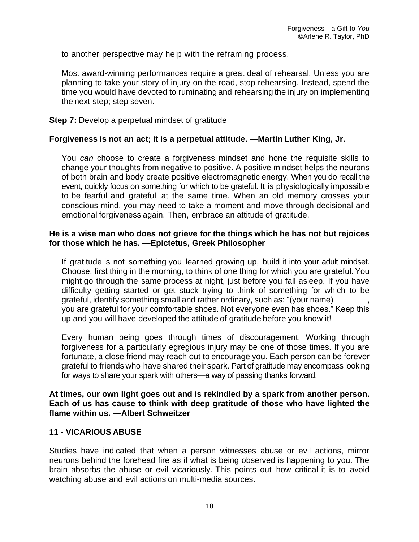to another perspective may help with the reframing process.

Most award-winning performances require a great deal of rehearsal. Unless you are planning to take your story of injury on the road, stop rehearsing. Instead, spend the time you would have devoted to ruminating and rehearsing the injury on implementing the next step; step seven.

### **Step 7:** Develop a perpetual mindset of gratitude

#### **Forgiveness is not an act; it is a perpetual attitude. —Martin Luther King, Jr.**

You *can* choose to create a forgiveness mindset and hone the requisite skills to change your thoughts from negative to positive. A positive mindset helps the neurons of both brain and body create positive electromagnetic energy. When you do recall the event, quickly focus on something for which to be grateful. It is physiologically impossible to be fearful and grateful at the same time. When an old memory crosses your conscious mind, you may need to take a moment and move through decisional and emotional forgiveness again. Then, embrace an attitude of gratitude.

#### **He is a [wise m](http://www.psychologytoday.com/basics/wisdom)an who does not grieve for the things which he has not but rejoices for those which he has. —Epictetus, Greek Philosopher**

If gratitude is not something you learned growing up, build it into your adult mindset. Choose, first thing in the morning, to think of one thing for which you are grateful. You might go through the same process at night, just before you fall asleep. If you have difficulty getting started or get stuck trying to think of something for which to be grateful, identify something small and rather ordinary, such as: "(your name) you are grateful for your comfortable shoes. Not everyone even has shoes." Keep this up and you will have developed the attitude of gratitude before you know it!

Every human being goes through times of discouragement. Working through forgiveness for a particularly egregious injury may be one of those times. If you are fortunate, a close friend may reach out to encourage you. Each person can be forever grateful to friends who have shared their spark. Part of gratitude may encompass looking for ways to share your spark with others—a way of passing thanks forward.

#### **At times, our own light goes out and is rekindled by a spark from another person. Each of us has cause to think with deep gratitude of those who have lighted the flame within us. —Albert Schweitzer**

#### **11 - VICARIOUS ABUSE**

Studies have indicated that when a person witnesses abuse or evil actions, mirror neurons behind the forehead fire as if what is being observed is happening to you. The brain absorbs the abuse or evil vicariously. This points out how critical it is to avoid watching abuse and evil actions on multi-media sources.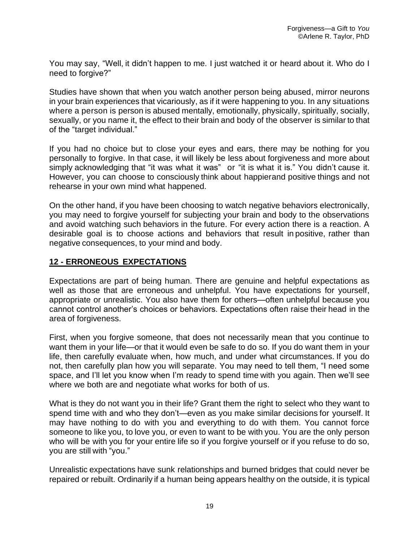You may say, "Well, it didn't happen to me. I just watched it or heard about it. Who do I need to forgive?"

Studies have shown that when you watch another person being abused, mirror neurons in your brain experiences that vicariously, as if it were happening to you. In any situations where a person is person is abused mentally, emotionally, physically, spiritually, socially, sexually, or you name it, the effect to their brain and body of the observer is similar to that of the "target individual."

If you had no choice but to close your eyes and ears, there may be nothing for you personally to forgive. In that case, it will likely be less about forgiveness and more about simply acknowledging that "it was what it was" or "it is what it is." You didn't cause it. However, you can choose to consciously think about happierand positive things and not rehearse in your own mind what happened.

On the other hand, if you have been choosing to watch negative behaviors electronically, you may need to forgive yourself for subjecting your brain and body to the observations and avoid watching such behaviors in the future. For every action there is a reaction. A desirable goal is to choose actions and behaviors that result in positive, rather than negative consequences, to your mind and body.

## **12 - ERRONEOUS EXPECTATIONS**

Expectations are part of being human. There are genuine and helpful expectations as well as those that are erroneous and unhelpful. You have expectations for yourself, appropriate or unrealistic. You also have them for others—often unhelpful because you cannot control another's choices or behaviors. Expectations often raise their head in the area of forgiveness.

First, when you forgive someone, that does not necessarily mean that you continue to want them in your life—or that it would even be safe to do so. If you do want them in your life, then carefully evaluate when, how much, and under what circumstances. If you do not, then carefully plan how you will separate. You may need to tell them, "I need some space, and I'll let you know when I'm ready to spend time with you again. Then we'll see where we both are and negotiate what works for both of us.

What is they do not want you in their life? Grant them the right to select who they want to spend time with and who they don't—even as you make similar decisions for yourself. It may have nothing to do with you and everything to do with them. You cannot force someone to like you, to love you, or even to want to be with you. You are the only person who will be with you for your entire life so if you forgive yourself or if you refuse to do so, you are still with "you."

Unrealistic expectations have sunk relationships and burned bridges that could never be repaired or rebuilt. Ordinarily if a human being appears healthy on the outside, it is typical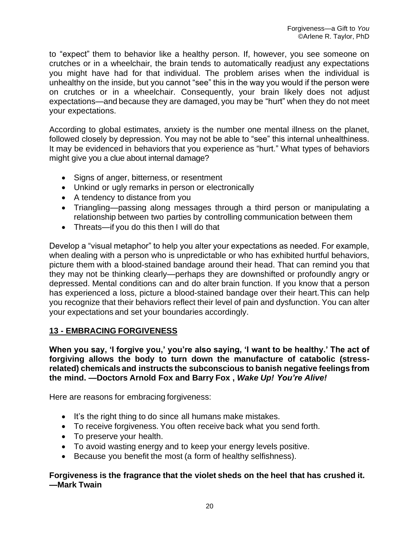to "expect" them to behavior like a healthy person. If, however, you see someone on crutches or in a wheelchair, the brain tends to automatically readjust any expectations you might have had for that individual. The problem arises when the individual is unhealthy on the inside, but you cannot "see" this in the way you would if the person were on crutches or in a wheelchair. Consequently, your brain likely does not adjust expectations—and because they are damaged, you may be "hurt" when they do not meet your expectations.

According to global estimates, anxiety is the number one mental illness on the planet, followed closely by depression. You may not be able to "see" this internal unhealthiness. It may be evidenced in behaviors that you experience as "hurt." What types of behaviors might give you a clue about internal damage?

- Signs of anger, bitterness, or resentment
- Unkind or ugly remarks in person or electronically
- A tendency to distance from you
- Triangling—passing along messages through a third person or manipulating a relationship between two parties by controlling communication between them
- Threats—if you do this then I will do that

Develop a "visual metaphor" to help you alter your expectations as needed. For example, when dealing with a person who is unpredictable or who has exhibited hurtful behaviors, picture them with a blood-stained bandage around their head. That can remind you that they may not be thinking clearly—perhaps they are downshifted or profoundly angry or depressed. Mental conditions can and do alter brain function. If you know that a person has experienced a loss, picture a blood-stained bandage over their heart.This can help you recognize that their behaviors reflect their level of pain and dysfunction. You can alter your expectations and set your boundaries accordingly.

## **13 - EMBRACING FORGIVENESS**

**When you say, 'I forgive you,' you're also saying, 'I want to be healthy.' The act of forgiving allows the body to turn down the manufacture of catabolic (stressrelated) chemicals and instructs the subconscious to banish negative feelings from the mind. —Doctors Arnold Fox and Barry Fox ,** *Wake Up! You're Alive!*

Here are reasons for embracing forgiveness:

- It's the right thing to do since all humans make mistakes.
- To receive forgiveness. You often receive back what you send forth.
- To preserve your health.
- To avoid wasting energy and to keep your energy levels positive.
- Because you benefit the most (a form of healthy selfishness).

## **Forgiveness is the fragrance that the violet sheds on the heel that has crushed it.** *—***Mark Twain**